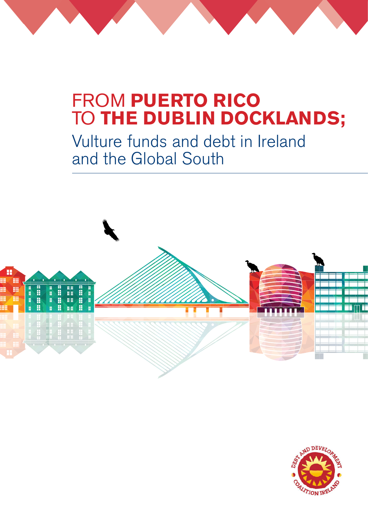# FROM **PUERTO RICO**  TO **THE DUBLIN DOCKLANDS;**

Vulture funds and debt in Ireland and the Global South



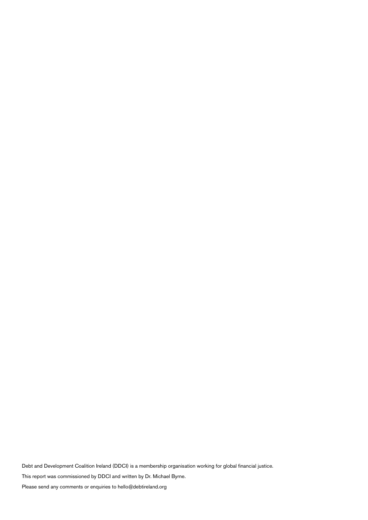Debt and Development Coalition Ireland (DDCI) is a membership organisation working for global financial justice.

This report was commissioned by DDCI and written by Dr. Michael Byrne.

Please send any comments or enquiries to hello@debtireland.org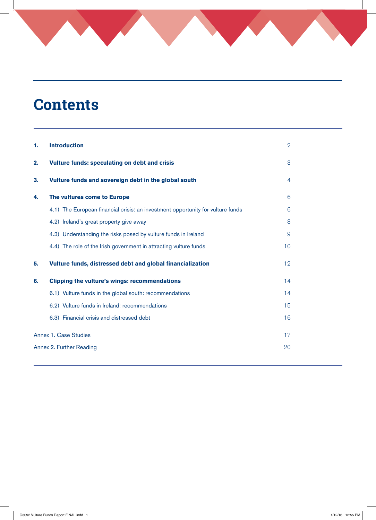# **Contents**

| 1. | <b>Introduction</b>                                                             | $\overline{2}$  |  |  |  |
|----|---------------------------------------------------------------------------------|-----------------|--|--|--|
| 2. | Vulture funds: speculating on debt and crisis                                   | 3               |  |  |  |
| 3. | Vulture funds and sovereign debt in the global south                            | 4               |  |  |  |
| 4. | The vultures come to Europe                                                     | 6               |  |  |  |
|    | 4.1) The European financial crisis: an investment opportunity for vulture funds | 6               |  |  |  |
|    | 4.2) Ireland's great property give away                                         | 8               |  |  |  |
|    | 4.3) Understanding the risks posed by vulture funds in Ireland                  | 9               |  |  |  |
|    | 4.4) The role of the Irish government in attracting vulture funds               | 10 <sup>°</sup> |  |  |  |
| 5. | Vulture funds, distressed debt and global financialization                      | 12 <sup>°</sup> |  |  |  |
| 6. | <b>Clipping the vulture's wings: recommendations</b>                            | 14              |  |  |  |
|    | 6.1) Vulture funds in the global south: recommendations                         | 14              |  |  |  |
|    | 6.2) Vulture funds in Ireland: recommendations                                  | 15              |  |  |  |
|    | 6.3) Financial crisis and distressed debt                                       | 16              |  |  |  |
|    | Annex 1. Case Studies                                                           | 17              |  |  |  |
|    | Annex 2. Further Reading<br>20                                                  |                 |  |  |  |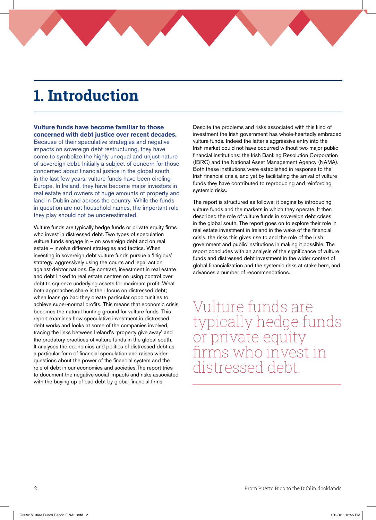# **1. Introduction**

**Vulture funds have become familiar to those concerned with debt justice over recent decades.**  Because of their speculative strategies and negative impacts on sovereign debt restructuring, they have come to symbolize the highly unequal and unjust nature of sovereign debt. Initially a subject of concern for those concerned about financial justice in the global south, in the last few years, vulture funds have been circling Europe. In Ireland, they have become major investors in real estate and owners of huge amounts of property and land in Dublin and across the country. While the funds in question are not household names, the important role they play should not be underestimated.

Vulture funds are typically hedge funds or private equity firms who invest in distressed debt. Two types of speculation vulture funds engage in – on sovereign debt and on real estate – involve different strategies and tactics. When investing in sovereign debt vulture funds pursue a 'litigious' strategy, aggressively using the courts and legal action against debtor nations. By contrast, investment in real estate and debt linked to real estate centres on using control over debt to squeeze underlying assets for maximum profit. What both approaches share is their focus on distressed debt; when loans go bad they create particular opportunities to achieve super-normal profits. This means that economic crisis becomes the natural hunting ground for vulture funds. This report examines how speculative investment in distressed debt works and looks at some of the companies involved, tracing the links between Ireland's 'property give away' and the predatory practices of vulture funds in the global south. It analyses the economics and politics of distressed debt as a particular form of financial speculation and raises wider questions about the power of the financial system and the role of debt in our economies and societies.The report tries to document the negative social impacts and risks associated with the buying up of bad debt by global financial firms.

Despite the problems and risks associated with this kind of investment the Irish government has whole-heartedly embraced vulture funds. Indeed the latter's aggressive entry into the Irish market could not have occurred without two major public financial institutions: the Irish Banking Resolution Corporation (IBRC) and the National Asset Management Agency (NAMA). Both these institutions were established in response to the Irish financial crisis, and yet by facilitating the arrival of vulture funds they have contributed to reproducing and reinforcing systemic risks.

The report is structured as follows: it begins by introducing vulture funds and the markets in which they operate. It then described the role of vulture funds in sovereign debt crises in the global south. The report goes on to explore their role in real estate investment in Ireland in the wake of the financial crisis, the risks this gives rise to and the role of the Irish government and public institutions in making it possible. The report concludes with an analysis of the significance of vulture funds and distressed debt investment in the wider context of global financialization and the systemic risks at stake here, and advances a number of recommendations.

Vulture funds are typically hedge funds or private equity firms who invest in distressed debt.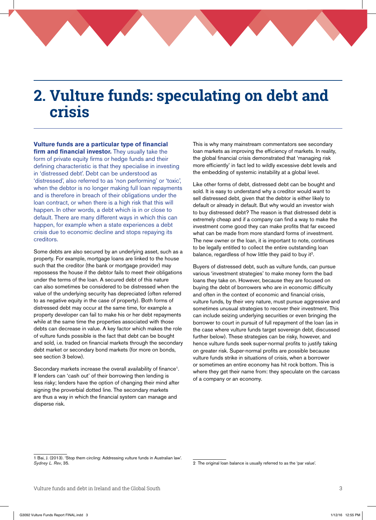## **2. Vulture funds: speculating on debt and crisis**

### **Vulture funds are a particular type of financial**

**firm and financial investor.** They usually take the form of private equity firms or hedge funds and their defining characteristic is that they specialise in investing in 'distressed debt'. Debt can be understood as 'distressed', also referred to as 'non performing' or 'toxic', when the debtor is no longer making full loan repayments and is therefore in breach of their obligations under the loan contract, or when there is a high risk that this will happen. In other words, a debt which is in or close to default. There are many different ways in which this can happen, for example when a state experiences a debt crisis due to economic decline and stops repaying its creditors.

Some debts are also secured by an underlying asset, such as a property. For example, mortgage loans are linked to the house such that the creditor (the bank or mortgage provider) may repossess the house if the debtor fails to meet their obligations under the terms of the loan. A secured debt of this nature can also sometimes be considered to be distressed when the value of the underlying security has depreciated (often referred to as negative equity in the case of property). Both forms of distressed debt may occur at the same time, for example a property developer can fail to make his or her debt repayments while at the same time the properties associated with those debts can decrease in value. A key factor which makes the role of vulture funds possible is the fact that debt can be bought and sold, i.e. traded on financial markets through the secondary debt market or secondary bond markets (for more on bonds, see section 3 below).

Secondary markets increase the overall availability of finance<sup>1</sup>. If lenders can 'cash out' of their borrowing then lending is less risky; lenders have the option of changing their mind after signing the proverbial dotted line. The secondary markets are thus a way in which the financial system can manage and disperse risk.

This is why many mainstream commentators see secondary loan markets as improving the efficiency of markets. In reality, the global financial crisis demonstrated that 'managing risk more efficiently' in fact led to wildly excessive debt levels and the embedding of systemic instability at a global level.

Like other forms of debt, distressed debt can be bought and sold. It is easy to understand why a creditor would want to sell distressed debt, given that the debtor is either likely to default or already in default. But why would an investor wish to buy distressed debt? The reason is that distressed debt is extremely cheap and if a company can find a way to make the investment come good they can make profits that far exceed what can be made from more standard forms of investment. The new owner or the loan, it is important to note, continues to be legally entitled to collect the entire outstanding loan balance, regardless of how little they paid to buy it<sup>2</sup>.

Buyers of distressed debt, such as vulture funds, can pursue various 'investment strategies' to make money form the bad loans they take on. However, because they are focused on buying the debt of borrowers who are in economic difficulty and often in the context of economic and financial crisis, vulture funds, by their very nature, must pursue aggressive and sometimes unusual strategies to recover their investment. This can include seizing underlying securities or even bringing the borrower to court in pursuit of full repayment of the loan (as in the case where vulture funds target sovereign debt, discussed further below). These strategies can be risky, however, and hence vulture funds seek super-normal profits to justify taking on greater risk. Super-normal profits are possible because vulture funds strike in situations of crisis, when a borrower or sometimes an entire economy has hit rock bottom. This is where they get their name from: they speculate on the carcass of a company or an economy.

<sup>1</sup> Bai, J. (2013). 'Stop them circling: Addressing vulture funds in Australian law'. *Sydney L. Rev*, 35.

<sup>2</sup> The original loan balance is usually referred to as the 'par value'.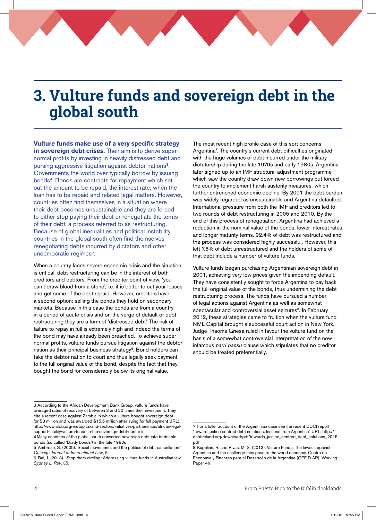## **3. Vulture funds and sovereign debt in the global south**

**Vulture funds make use of a very specific strategy** 

**in sovereign debt crises.** Their aim is to derive supernormal profits by investing in heavily distressed debt and pursing aggressive litigation against debtor nations<sup>3</sup>. Governments the world over typically borrow by issuing bonds<sup>4</sup>. Bonds are contracts for repayment which set out the amount to be repaid, the interest rate, when the loan has to be repaid and related legal matters. However, countries often find themselves in a situation where their debt becomes unsustainable and they are forced to either stop paying their debt or renegotiate the terms of their debt, a process referred to as restructuring. Because of global inequalities and political instability, countries in the global south often find themselves renegotiating debts incurred by dictators and other undemocratic regimes<sup>5</sup>.

When a country faces severe economic crisis and the situation is critical, debt restructuring can be in the interest of both creditors and debtors. From the creditor point of view, 'you can't draw blood from a stone', i.e. it is better to cut your losses and get some of the debt repaid. However, creditors have a second option: selling the bonds they hold on secondary markets. Because in this case the bonds are from a country in a period of acute crisis and on the verge of default or debt restructuring they are a form of 'distressed debt'. The risk of failure to repay in full is extremely high and indeed the terms of the bond may have already been breached. To achieve supernormal profits, vulture funds pursue litigation against the debtor nation as their principal business strategy<sup>6</sup>. Bond holders can take the debtor nation to court and thus legally seek payment to the full original value of the bond, despite the fact that they bought the bond for considerably below its original value.

The most recent high profile case of this sort concerns Argentina7 . The country's current debt difficulties originated with the huge volumes of debt incurred under the military dictatorship during the late 1970s and early 1980s. Argentina later signed up to an IMF structural adjustment programme which saw the country draw down new borrowings but forced the country to implement harsh austerity measures which further entrenched economic decline. By 2001 the debt burden was widely regarded as unsustainable and Argentina defaulted. International pressure from both the IMF and creditors led to two rounds of debt restructuring in 2005 and 2010. By the end of this process of renegotiation, Argentina had achieved a reduction in the nominal value of the bonds, lower interest rates and longer maturity terms. 92.4% of debt was restructured and the process was considered highly successful. However, this left 7.6% of debt unrestructured and the holders of some of that debt include a number of vulture funds.

Vulture funds began purchasing Argentinian sovereign debt in 2001, achieving very low prices given the impending default. They have consistently sought to force Argentina to pay back the full original value of the bonds, thus undermining the debt restructuring process. The funds have pursued a number of legal actions against Argentina as well as somewhat spectacular and controversial asset seizures<sup>8</sup>. In February 2012, these strategies came to fruition when the vulture fund NML Capital brought a successful court action in New York. Judge Thaoms Griesa ruled in favour the vulture fund on the basis of a somewhat controversial interpretation of the now infamous *parri passu* clause which stipulates that no creditor should be treated preferentially.

<sup>3</sup> According to the African Development Bank Group, vulture funds have averaged rates of recovery of between 3 and 20 times their investment. They cite a recent case against Zambia in which a vulture bought sovereign debt for \$3 million and was awarded \$15.5 million after suing for full payment URL: http://www.afdb.org/en/topics-and-sectors/initiatives-partnerships/african-legalsupport-facility/vulture-funds-in-the-sovereign-debt-context/

<sup>4</sup>Many countries of the global south converted sovereign debt into tradeable bonds (so called 'Brady bonds') in the late 1980s

<sup>5</sup> Ambrose, S. (2005).' Social movements and the politics of debt cancellation'. *Chicago Journal of International Law*, 6.

<sup>6</sup> Bai, J. (2013). 'Stop them circling: Addressing vulture funds in Australian law'. *Sydney L. Rev*, 35.

<sup>7</sup> For a fuller account of the Argentinian case see the recent DDCI report 'Toward justice centred debt solutions: lessons from Argentina', URL: http:// debtireland.org/download/pdf/towards\_justice\_centred\_debt\_solutions\_2015. pdf

<sup>8</sup> Kupelian, R. and Rivas, M. S. (2013). Vulture Funds: The lawsuit against Argentina and the challenge they pose to the world economy. Centro de Economía y Finanzas para el Desarrollo de la Argentina (CEFID-AR), Working Paper 49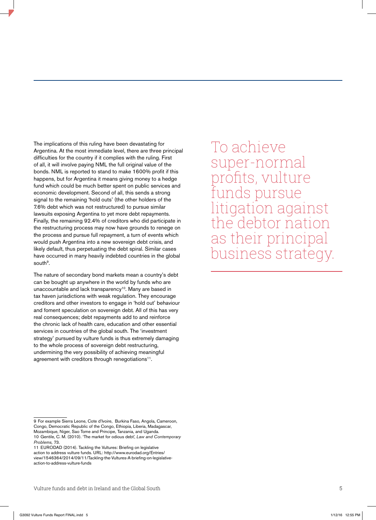The implications of this ruling have been devastating for Argentina. At the most immediate level, there are three principal difficulties for the country if it complies with the ruling. First of all, it will involve paying NML the full original value of the bonds. NML is reported to stand to make 1600% profit if this happens, but for Argentina it means giving money to a hedge fund which could be much better spent on public services and economic development. Second of all, this sends a strong signal to the remaining 'hold outs' (the other holders of the 7.6% debt which was not restructured) to pursue similar lawsuits exposing Argentina to yet more debt repayments. Finally, the remaining 92.4% of creditors who did participate in the restructuring process may now have grounds to renege on the process and pursue full repayment, a turn of events which would push Argentina into a new sovereign debt crisis, and likely default, thus perpetuating the debt spiral. Similar cases have occurred in many heavily indebted countries in the global south<sup>9</sup>.

The nature of secondary bond markets mean a country's debt can be bought up anywhere in the world by funds who are unaccountable and lack transparency<sup>10</sup>. Many are based in tax haven jurisdictions with weak regulation. They encourage creditors and other investors to engage in 'hold out' behaviour and foment speculation on sovereign debt. All of this has very real consequences; debt repayments add to and reinforce the chronic lack of health care, education and other essential services in countries of the global south. The 'investment strategy' pursued by vulture funds is thus extremely damaging to the whole process of sovereign debt restructuring, undermining the very possibility of achieving meaningful agreement with creditors through renegotiations<sup>11</sup>.

9 For example Sierra Leone, Cote d'Ivoire, Burkina Faso, Angola, Cameroon, Congo, Democratic Republic of the Congo, Ethiopia, Liberia, Madagascar, Mozambique, Niger, Sao Tome and Principe, Tanzania, and Uganda. 10 Gentile, C. M. (2010). 'The market for odious debt', *Law and Contemporary Problems,* 73.

11 EURODAD (2014). Tackling the Vultures: Briefing on legislative action to address vulture funds. URL: http://www.eurodad.org/Entries/ view/1546364/2014/09/11/Tackling-the-Vultures-A-briefing-on-legislativeaction-to-address-vulture-funds

To achieve super-normal profits, vulture nds pursue igation against the debtor natio as their principal business strategy.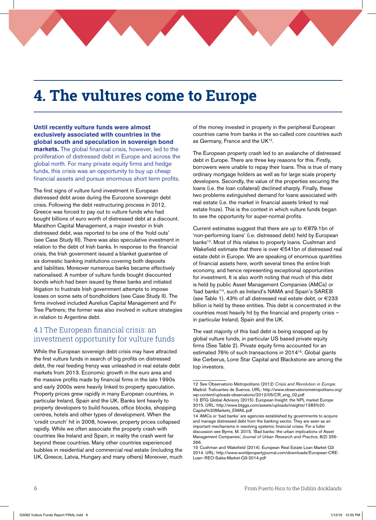# **4. The vultures come to Europe**

**Until recently vulture funds were almost exclusively associated with countries in the global south and speculation in sovereign bond markets.** The global financial crisis, however, led to the proliferation of distressed debt in Europe and across the global north. For many private equity firms and hedge funds, this crisis was an opportunity to buy up cheap financial assets and pursue enormous short term profits.

The first signs of vulture fund investment in European distressed debt arose during the Eurozone sovereign debt crisis. Following the debt restructuring process in 2012, Greece was forced to pay out to vulture funds who had bought billions of euro worth of distressed debt at a discount. Marathon Capital Management, a major investor in Irish distressed debt, was reported to be one of the 'hold outs' (see Case Study III). There was also speculative investment in relation to the debt of Irish banks. In response to the financial crisis, the Irish government issued a blanket guarantee of six domestic banking institutions covering both deposits and liabilities. Moreover numerous banks became effectively nationalised. A number of vulture funds bought discounted bonds which had been issued by these banks and initiated litigation to frustrate Irish government attempts to impose losses on some sets of bondholders (see Case Study II). The firms involved included Aurelius Capital Management and Fir Tree Partners; the former was also involved in vulture strategies in relation to Argentine debt.

### 4.1 The European financial crisis: an investment opportunity for vulture funds

While the European sovereign debt crisis may have attracted the first vulture funds in search of big profits on distressed debt, the real feeding frenzy was unleashed in real estate debt markets from 2013. Economic growth in the euro area and the massive profits made by financial firms in the late 1990s and early 2000s were heavily linked to property speculation. Property prices grew rapidly in many European countries, in particular Ireland, Spain and the UK. Banks lent heavily to property developers to build houses, office blocks, shopping centres, hotels and other types of development. When the 'credit crunch' hit in 2008, however, property prices collapsed rapidly. While we often associate the property crash with countries like Ireland and Spain, in reality the crash went far beyond these countries. Many other countries experienced bubbles in residential and commercial real estate (including the UK, Greece, Latvia, Hungary and many others) Moreover, much of the money invested in property in the peripheral European countries came from banks in the so-called core countries such as Germany, France and the UK<sup>12</sup>.

The European property crash led to an avalanche of distressed debt in Europe. There are three key reasons for this. Firstly, borrowers were unable to repay their loans. This is true of many ordinary mortgage holders as well as for large scale property developers. Secondly, the value of the properties securing the loans (i.e. the loan collateral) declined sharply. Finally, these two problems extinguished demand for loans associated with real estate (i.e. the market in financial assets linked to real estate froze). This is the context in which vulture funds began to see the opportunity for super-normal profits.

Current estimates suggest that there are up to €879.1bn of 'non-performing loans' (i.e. distressed debt) held by European banks<sup>13</sup>. Most of this relates to property loans. Cushman and Wakefield estimate that there is over €541bn of distressed real estate debt in Europe. We are speaking of enormous quantities of financial assets here, worth several times the entire Irish economy, and hence representing exceptional opportunities for investment. It is also worth noting that much of this debt is held by public Asset Management Companies (AMCs) or 'bad banks'14, such as Ireland's NAMA and Spain's SAREB (see Table 1). 43% of all distressed real estate debt, or  $\in$  233 billion is held by these entities. This debt is concentrated in the countries most heavily hit by the financial and property crisis – in particular Ireland, Spain and the UK.

The vast majority of this bad debt is being snapped up by global vulture funds, in particular US based private equity firms (See Table 2). Private equity firms accounted for an estimated 76% of such transactions in 201415. Global giants like Cerberus, Lone Star Capital and Blackstone are among the top investors.

<sup>12</sup> See Observatorio Metropolitano (2012) *Crisis and Revolution in Europe*. Madrid: Traficantes de Suenos. URL: http://www.observatoriometropolitano.org/ wp-content/uploads-observatorio/2012/05/CR\_eng\_02.pdf 13 BTG Global Advisory (2015). European Insight: the NPL market Europe

<sup>2015.</sup> URL: http://www.btgga.com/assets/uploads/insights/1383%20 Capital%20Markets\_EMAIL.pdf

<sup>14</sup> AMCs or 'bad banks' are agencies established by governments to acquire and manage distressed debt from the banking sector. They are seen as an important mechanisms in resolving systemic financial crises. For a fuller discussion see Byrne, M. 2015. 'Bad banks: the urban implications of Asset Management Companies', *Journal of Urban Research and Practice*, 8(2) 255- 266.

<sup>15</sup> Cushman and Wakefield (2014). European Real Estate Loan Market Q3 2014. URL: http://www.worldpropertyjournal.com/downloads/European-CRE-Loan--REO-Sales-Market-Q3-2014.pdf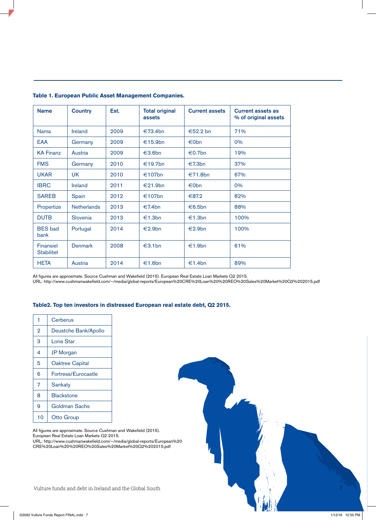| <b>Name</b>                           | <b>Country</b>     | Est. | <b>Total original</b><br>assets | <b>Current assets</b> | <b>Current assets as</b><br>% of original assets |
|---------------------------------------|--------------------|------|---------------------------------|-----------------------|--------------------------------------------------|
| Nama                                  | <b>Ireland</b>     | 2009 | €73.4bn                         | €52.2 bn              | 71%                                              |
| <b>EAA</b>                            | Germany            | 2009 | €15.9bn                         | €0bn                  | 0%                                               |
| <b>KA Finanz</b>                      | Austria            | 2009 | €3.6bn                          | €0.7bn                | 19%                                              |
| <b>FMS</b>                            | Germany            | 2010 | €19.7bn                         | €7.3bn                | 37%                                              |
| <b>UKAR</b>                           | <b>UK</b>          | 2010 | €107bn                          | €71.8bn               | 67%                                              |
| <b>IBRC</b>                           | <b>Ireland</b>     | 2011 | €21.9bn                         | €0bn                  | 0%                                               |
| <b>SAREB</b>                          | Spain              | 2012 | €107bn                          | €87.2                 | 82%                                              |
| Propertize                            | <b>Netherlands</b> | 2013 | €7.4bn                          | €6.5bn                | 88%                                              |
| <b>DUTB</b>                           | Slovenia           | 2013 | €1.3bn                          | €1.3bn                | 100%                                             |
| <b>BES</b> bad<br>bank                | Portugal           | 2014 | €2.9bn                          | €2.9bn                | 100%                                             |
| <b>Finansiel</b><br><b>Stabilitet</b> | <b>Denmark</b>     | 2008 | €3.1bn                          | €1.9bn                | 61%                                              |
| <b>HETA</b>                           | Austria            | 2014 | €1.6bn                          | €1.4bn                | 89%                                              |

### **Table 1. European Public Asset Management Companies.**

All figures are approximate. Source Cushman and Wakefield (2015). European Real Estate Loan Markets Q2 2015. URL: http://www.cushmanwakefield.com/~/media/global-reports/European%20CRE%20Loan%20%20REO%20Sales%20Market%20Q2%202015.pdf

### **Table2. Top ten investors in distressed European real estate debt, Q2 2015.**

| 1              | Cerberus               |
|----------------|------------------------|
| $\overline{2}$ | Deustche Bank/Apollo   |
| 3              | Lone Star              |
| 4              | <b>JP</b> Morgan       |
| 5              | <b>Oaktree Capital</b> |
| 6              | Fortress/Eurocastle    |
| 7              | Sankaty                |
| 8              | <b>Blackstone</b>      |
| 9              | Goldman Sachs          |
| 10             | <b>Otto Group</b>      |

All figures are approximate. Source Cushman and Wakefield (2015). European Real Estate Loan Markets Q2 2015.

URL: http://www.cushmanwakefield.com/~/media/global-reports/European%20 CRE%20Loan%20%20REO%20Sales%20Market%20Q2%202015.pdf

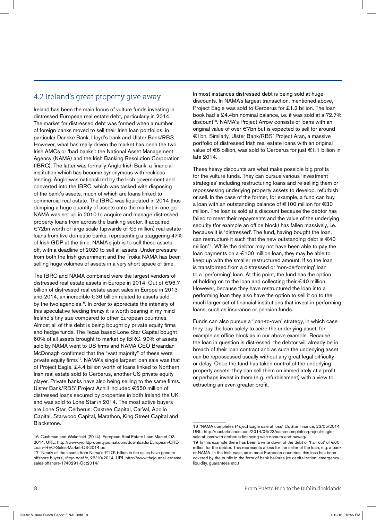## 4.2 Ireland's great property give away

Ireland has been the main focus of vulture funds investing in distressed European real estate debt, particularly in 2014. The market for distressed debt was formed when a number of foreign banks moved to sell their Irish loan portfolios, in particular Danske Bank, Lloyd's bank and Ulster Bank/RBS. However, what has really driven the market has been the two Irish AMCs or 'bad banks': the National Asset Management Agency (NAMA) and the Irish Banking Resolution Corporation (IBRC). The latter was formally Anglo Irish Bank, a financial institution which has become synonymous with reckless lending. Anglo was nationalized by the Irish government and converted into the IBRC, which was tasked with disposing of the bank's assets, much of which are loans linked to commercial real estate. The IBRC was liquidated in 2014 thus dumping a huge quantity of assets onto the market in one go. NAMA was set up in 2010 to acquire and manage distressed property loans from across the banking sector. It acquired €72bn worth of large scale (upwards of €5 million) real estate loans from five domestic banks, representing a staggering 47% of Irish GDP at the time. NAMA's job is to sell these assets off, with a deadline of 2020 to sell all assets. Under pressure from both the Irish government and the Troika NAMA has been selling huge volumes of assets in a very short space of time.

The IBRC and NAMA combined were the largest vendors of distressed real estate assets in Europe in 2014. Out of €96.7 billion of distressed real estate asset sales in Europe in 2013 and 2014, an incredible €36 billion related to assets sold by the two agencies<sup>16</sup>. In order to appreciate the intensity of this speculative feeding frenzy it is worth bearing in my mind Ireland's tiny size compared to other European countries. Almost all of this debt is being bought by private equity firms and hedge funds. The Texas based Lone Star Capital bought 60% of all assets brought to market by IBRC. 90% of assets sold by NAMA went to US firms and NAMA CEO Breandan McDonagh confirmed that the "vast majority" of these were private equity firms<sup>17</sup>. NAMA's single largest loan sale was that of Project Eagle, £4.4 billion worth of loans linked to Northern Irish real estate sold to Cerberus, another US private equity player. Private banks have also being selling to the same firms. Ulster Bank/RBS' Project Achill included €550 million of distressed loans secured by properties in both Ireland the UK and was sold to Lone Star in 2014. The most active buyers are Lone Star, Cerberus, Oaktree Capital, CarVal, Apollo Capital, Starwood Capital, Marathon, King Street Capital and Blackstone.

In most instances distressed debt is being sold at huge discounts. In NAMA's largest transaction, mentioned above, Project Eagle was sold to Cerberus for £1.2 billion. The loan book had a £4.4bn nominal balance, i.e. it was sold at a 72.7% discount<sup>18</sup>. NAMA's Project Arrow consists of loans with an original value of over €7bn but is expected to sell for around €1bn. Similarly, Ulster Bank/RBS' Project Aran, a massive portfolio of distressed Irish real estate loans with an original value of €6 billion, was sold to Cerberus for just €1.1 billion in late 2014.

These heavy discounts are what make possible big profits for the vulture funds. They can pursue various 'investment strategies' including restructuring loans and re-selling them or repossessing underlying property assets to develop, refurbish or sell. In the case of the former, for example, a fund can buy a loan with an outstanding balance of €100 million for €30 million. The loan is sold at a discount because the debtor has failed to meet their repayments and the value of the underlying security (for example an office block) has fallen massively, i.e. because it is 'distressed'. The fund, having bought the loan, can restructure it such that the new outstanding debt is  $\in$ 40 million<sup>19</sup>. While the debtor may not have been able to pay the loan payments on a €100 million loan, they may be able to keep up with the smaller restructured amount. If so the loan is transformed from a distressed or 'non-performing' loan to a 'performing' loan. At this point, the fund has the option of holding on to the loan and collecting their €40 million. However, because they have restructured the loan into a performing loan they also have the option to sell it on to the much larger set of financial institutions that invest in performing loans, such as insurance or pension funds.

Funds can also pursue a 'loan-to-own' strategy, in which case they buy the loan solely to seize the underlying asset, for example an office block as in our above example. Because the loan in question is distressed, the debtor will already be in breach of their loan contract and as such the underlying asset can be repossessed usually without any great legal difficulty or delay. Once the fund has taken control of the underlying property assets, they can sell them on immediately at a profit or perhaps invest in them (e.g. refurbishment) with a view to extracting an even greater profit.

<sup>16</sup> Cushman and Wakefield (2014). European Real Estate Loan Market Q3 2014. URL: http://www.worldpropertyjournal.com/downloads/European-CRE-Loan--REO-Sales-Market-Q3-2014.pdf

<sup>17 &#</sup>x27;Nearly all the assets from Nama's €17.5 billion in fire sales have gone to offshore buyers', *thejournal.ie*, 22/10/2014. URL:http://www.thejournal.ie/namasales-offshore-1740291-Oct2014/

<sup>18 &#</sup>x27;NAMA completes Project Eagle sale at loss', CoStar Finance, 23/05/2014. URL: http://costarfinance.com/2014/06/23/nama-completes-project-eaglesale-at-loss-with-cerberus-financing-with-nomura-and-bawag/

<sup>19</sup> In this example there has been a write down of the debt or 'hair cut' of €60 million for the debtor. This represents a loss for the seller of the loan, e.g. a bank or NAMA. In the Irish case, as in most European countries, this loss has been covered by the public in the form of bank bailouts (re-capitalization, emergency liquidity, quarantees etc.)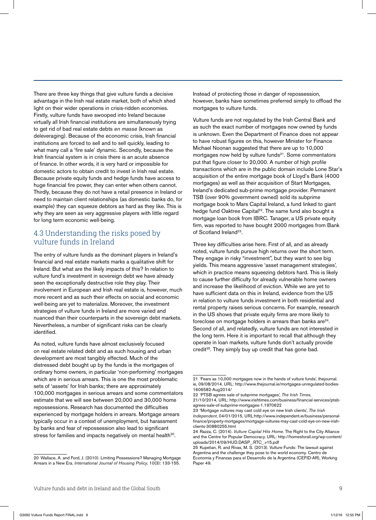There are three key things that give vulture funds a decisive advantage in the Irish real estate market, both of which shed light on their wider operations in crisis-ridden economies. Firstly, vulture funds have swooped into Ireland because virtually all Irish financial institutions are simultaneously trying to get rid of bad real estate debts *en masse* (known as deleveraging). Because of the economic crisis, Irish financial institutions are forced to sell and to sell quickly, leading to what many call a 'fire sale' dynamic. Secondly, because the Irish financial system is in crisis there is an acute absence of finance. In other words, it is very hard or impossible for domestic actors to obtain credit to invest in Irish real estate. Because private equity funds and hedge funds have access to huge financial fire power, they can enter when others cannot. Thirdly, because they do not have a retail presence in Ireland or need to maintain client relationships (as domestic banks do, for example) they can squeeze debtors as hard as they like. This is why they are seen as very aggressive players with little regard for long term economic well-being.

### 4.3 Understanding the risks posed by vulture funds in Ireland

The entry of vulture funds as the dominant players in Ireland's financial and real estate markets marks a qualitative shift for Ireland. But what are the likely impacts of this? In relation to vulture fund's investment in sovereign debt we have already seen the exceptionally destructive role they play. Their involvement in European and Irish real estate is, however, much more recent and as such their effects on social and economic well-being are yet to materialize. Moreover, the investment strategies of vulture funds in Ireland are more varied and nuanced than their counterparts in the sovereign debt markets. Nevertheless, a number of significant risks can be clearly identified.

As noted, vulture funds have almost exclusively focused on real estate related debt and as such housing and urban development are most tangibly effected. Much of the distressed debt bought up by the funds is the mortgages of ordinary home owners, in particular 'non-performing' mortgages which are in serious arrears. This is one the most problematic sets of 'assets' for Irish banks; there are approximately 100,000 mortgages in serious arrears and some commentators estimate that we will see between 20,000 and 30,000 home repossessions. Research has documented the difficulties experienced by mortgage holders in arrears. Mortgage arrears typically occur in a context of unemployment, but harassment by banks and fear of repossession also lead to significant stress for families and impacts negatively on mental health<sup>20</sup>.

Instead of protecting those in danger of repossession, however, banks have sometimes preferred simply to offload the mortgages to vulture funds.

Vulture funds are not regulated by the Irish Central Bank and as such the exact number of mortgages now owned by funds is unknown. Even the Department of Finance does not appear to have robust figures on this, however Minister for Finance Michael Noonan suggested that there are up to 10,000 mortgages now held by vulture funds<sup>21</sup>. Some commentators put that figure closer to 20,000. A number of high profile transactions which are in the public domain include Lone Star's acquisition of the entire mortgage book of Lloyd's Bank (4000 mortgages) as well as their acquisition of Start Mortgages, Ireland's dedicated sub-prime mortgage provider. Permanent TSB (over 90% government owned) sold its subprime mortgage book to Mars Capital Ireland, a fund linked to giant hedge fund Oaktree Capital<sup>22</sup>. The same fund also bought a mortgage loan book from IBRC. Tanager, a US private equity firm, was reported to have bought 2000 mortgages from Bank of Scotland Ireland<sup>23</sup>.

Three key difficulties arise here. First of all, and as already noted, vulture funds pursue high returns over the short term. They engage in risky "investment", but they want to see big yields. This means aggressive 'asset management strategies', which in practice means squeezing debtors hard. This is likely to cause further difficulty for already vulnerable home owners and increase the likelihood of eviction. While we are yet to have sufficient data on this in Ireland, evidence from the US in relation to vulture funds investment in both residential and rental property raises serious concerns. For example, research in the US shows that private equity firms are more likely to foreclose on mortgage holders in arrears than banks are $24$ . Second of all, and relatedly, vulture funds are not interested in the long term. Here it is important to recall that although they operate in loan markets, vulture funds don't actually provide credit<sup>25</sup>. They simply buy up credit that has gone bad.

<sup>20</sup> Wallace, A. and Ford, J. (2010). Limiting Possessions? Managing Mortgage Arrears in a New Era. *International Journal of Housing Policy*, 10(3): 133-155.

<sup>21 &#</sup>x27;Fears as 10,000 mortgages now in the hands of vulture funds', thejournal. ie, 09/08/2014. URL: http://www.thejournal.ie/mortgages-unregulated-bodies-1606582-Aug2014/

<sup>22 &#</sup>x27;PTSB agrees sale of subprime mortgages', *The Irish Times*, 21/10/2014, URL: http://www.irishtimes.com/business/financial-services/ptsbagrees-sale-of-subprime-mortgages-1.1970622

<sup>23 &#</sup>x27;Mortgage vultures may cast cold eye on new Irish clients', *The Irish Independent*, 04/01/2015, URL:http://www.independent.ie/business/personalfinance/property-mortgages/mortgage-vultures-may-cast-cold-eye-on-new-irish-

clients-30880255.html 24 Razza, C. (2014). *Vulture Capital Hits Home*. The Right to the City Alliance and the Centre for Popular Democracy. URL: http://homesforall.org/wp-content/ uploads/2014/09/HUD.DASP\_.RTC\_v15.pdf

<sup>25</sup> Kupelian, R. and Rivas, M. S. (2013). Vulture Funds: The lawsuit against Argentina and the challenge they pose to the world economy. Centro de Economía y Finanzas para el Desarrollo de la Argentina (CEFID-AR), Working Paper 49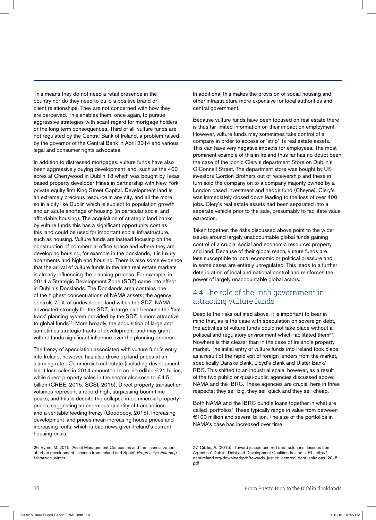This means they do not need a retail presence in the country nor do they need to build a positive brand or client relationships. They are not concerned with how they are perceived. This enables them, once again, to pursue aggressive strategies with scant regard for mortgage holders or the long term consequences. Third of all, vulture funds are not regulated by the Central Bank of Ireland, a problem raised by the governor of the Central Bank in April 2014 and various legal and consumer rights advocates.

In addition to distressed mortgages, vulture funds have also been aggressively buying development land, such as the 400 acres at Cherrywood in Dublin 18 which was bought by Texas based property developer Hines in partnership with New York private equity firm King Street Capital. Development land is an extremely precious resource in any city, and all the more so in a city like Dublin which is subject to population growth and an acute shortage of housing (in particular social and affordable housing). The acquisition of strategic land banks by vulture funds this has a significant opportunity cost as this land could be used for important social infrastructure, such as housing. Vulture funds are instead focusing on the construction of commercial office space and where they are developing housing, for example in the docklands, it is luxury apartments and high end housing. There is also some evidence that the arrival of vulture funds in the Irish real estate markets is already influencing the planning process. For example, in 2014 a Strategic Development Zone (SDZ) came into effect in Dublin's Docklands. The Docklands area contains one of the highest concentrations of NAMA assets; the agency controls 75% of undeveloped land within the SDZ. NAMA advocated strongly for the SDZ, in large part because the 'fast track' planning system provided by the SDZ is more attractive to global funds<sup>26</sup>. More broadly, the acquisition of large and sometimes strategic tracts of development land may grant vulture funds significant influence over the planning process.

The frenzy of speculation associated with vulture fund's entry into Ireland, however, has also drove up land prices at an alarming rate . Commercial real estate (including development land) loan sales in 2014 amounted to an incredible €21 billion, while direct property sales in the sector also rose to  $\in$  4.5 billion (CRBE, 2015; SCSI, 2015). Direct property transaction volumes represent a record high, surpassing boom-time peaks, and this is despite the collapse in commercial property prices, suggesting an enormous quantity of transactions and a veritable feeding frenzy (Goodbody, 2015). Increasing development land prices mean increasing house prices and increasing rents, which is bad news given Ireland's current housing crisis.

26 Byrne, M. 2015. 'Asset Management Companies and the financialization of urban development: lessons from Ireland and Spain'. *Progressive Planning Magazine*, winter.

In additional this makes the provision of social housing and other infrastructure more expensive for local authorities and central government.

Because vulture funds have been focused on real estate there is thus far limited information on their impact on employment. However, vulture funds may sometimes take control of a company in order to access or 'strip' its real estate assets. This can have very negative impacts for employees. The most prominent example of this in Ireland thus far has no doubt been the case of the iconic Clery's department Store on Dublin's O'Connell Street. The department store was bought by US investors Gordon Brothers out of receivership and these in turn sold the company on to a company majority owned by a London based investment and hedge fund (Cheyne). Clery's was immediately closed down leading to the loss of over 400 jobs. Clery's real estate assets had been separated into a separate vehicle prior to the sale, presumably to facilitate value extraction.

Taken together, the risks discussed above point to the wider issues around largely unaccountable global funds gaining control of a crucial social and economic resource: property and land. Because of their global reach, vulture funds are less susceptible to local economic or political pressure and in some cases are entirely unregulated. This leads to a further deterioration of local and national control and reinforces the power of largely unaccountable global actors.

## 4.4 The role of the Irish government in attracting vulture funds

Despite the risks outlined above, it is important to bear in mind that, as is the case with speculation on sovereign debt, the activities of vulture funds could not take place without a political and regulatory environment which facilitated them<sup>27</sup>. Nowhere is this clearer than in the case of Ireland's property market. The initial entry of vulture funds into Ireland took place as a result of the rapid exit of foreign lenders from the market, specifically Danske Bank, Lloyd's Bank and Ulster Bank/ RBS. This shifted to an industrial scale, however, as a result of the two public or quasi-public agencies discussed above: NAMA and the IBRC. These agencies are crucial here in three respects: they sell big, they sell quick and they sell cheap.

Both NAMA and the IBRC bundle loans together in what are called 'portfolios'. These typically range in value from between €100 million and several billion. The size of the portfolios in NAMA's case has increased over time.

<sup>27</sup> Cibilis, A. (2015). 'Toward justice centred debt solutions: lessons from Argentina'. Dublin: Debt and Development Coalition Ireland. URL: http:// debtireland.org/download/pdf/towards\_justice\_centred\_debt\_solutions\_2015. pdf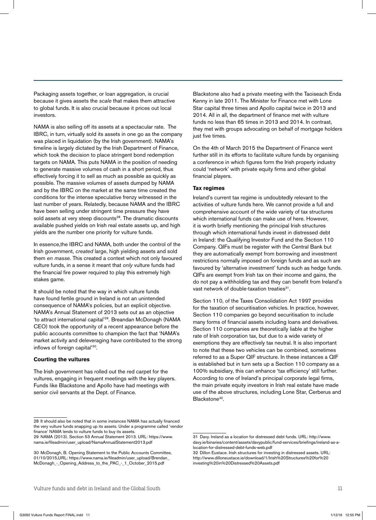Packaging assets together, or loan aggregation, is crucial because it gives assets the *scale* that makes them attractive to global funds. It is also crucial because it prices out local investors.

NAMA is also selling off its assets at a spectacular rate. The IBRC, in turn, virtually sold its assets in one go as the company was placed in liquidation (by the Irish government). NAMA's timeline is largely dictated by the Irish Department of Finance, which took the decision to place stringent bond redemption targets on NAMA. This puts NAMA in the position of needing to generate massive volumes of cash in a short period, thus effectively forcing it to sell as much as possible as quickly as possible. The massive volumes of assets dumped by NAMA and by the IBRC on the market at the same time created the conditions for the intense speculative frenzy witnessed in the last number of years. Relatedly, because NAMA and the IBRC have been selling under stringent time pressure they have sold assets at very steep discounts<sup>28</sup>. The dramatic discounts available pushed yields on Irish real estate assets up, and high yields are the number one priority for vulture funds.

In essence,the IBRC and NAMA, both under the control of the Irish government, *created* large, high yielding assets and sold them *en masse*. This created a context which not only favoured vulture funds, in a sense it meant that *only* vulture funds had the financial fire power required to play this extremely high stakes game.

It should be noted that the way in which vulture funds have found fertile ground in Ireland is not an unintended consequence of NAMA's policies, but an explicit objective. NAMA's Annual Statement of 2013 sets out as an objective 'to attract international capital'29. Breandan McDonagh (NAMA CEO) took the opportunity of a recent appearance before the public accounts committee to champion the fact that 'NAMA's market activity and deleveraging have contributed to the strong inflows of foreign capital'30.

#### **Courting the vultures**

The Irish government has rolled out the red carpet for the vultures, engaging in frequent meetings with the key players. Funds like Blackstone and Apollo have had meetings with senior civil servants at the Dept. of Finance.

Blackstone also had a private meeting with the Taoiseach Enda Kenny in late 2011. The Minister for Finance met with Lone Star capital three times and Apollo capital twice in 2013 and 2014. All in all, the department of finance met with vulture funds no less than 65 times in 2013 and 2014. In contrast, they met with groups advocating on behalf of mortgage holders just five times.

On the 4th of March 2015 the Department of Finance went further still in its efforts to facilitate vulture funds by organising a conference in which figures form the Irish property industry could 'network' with private equity firms and other global financial players.

#### **Tax regimes**

Ireland's current tax regime is undoubtedly relevant to the activities of vulture funds here. We cannot provide a full and comprehensive account of the wide variety of tax structures which international funds can make use of here. However, it is worth briefly mentioning the principal Irish structures through which international funds invest in distressed debt in Ireland: the Qualifying Investor Fund and the Section 110 Company. QIFs must be register with the Central Bank but they are automatically exempt from borrowing and investment restrictions normally imposed on foreign funds and as such are favoured by 'alternative investment' funds such as hedge funds. QIFs are exempt from Irish tax on their income and gains, the do not pay a withholding tax and they can benefit from Ireland's vast network of double-taxation treaties<sup>31</sup>.

Section 110, of the Taxes Consolidation Act 1997 provides for the taxation of securitisation vehicles. In practice, however, Section 110 companies go beyond securitisation to include many forms of financial assets including loans and derivatives. Section 110 companies are theoretically liable at the higher rate of Irish corporation tax, but due to a wide variety of exemptions they are effectively tax neutral. It is also important to note that these two vehicles can be combined, sometimes referred to as a Super QIF structure. In these instances a QIF is established but in turn sets up a Section 110 company as a 100% subsidiary, this can enhance 'tax efficiency' still further. According to one of Ireland's principal corporate legal firms, the main private equity investors in Irish real estate have made use of the above structures, including Lone Star, Cerberus and Blackstone<sup>32</sup>.

<sup>28</sup> It should also be noted that in some instances NAMA has actually financed the very vulture funds snapping up its assets. Under a programme called 'vendor finance' NAMA lends to vulture funds to buy its assets.

<sup>29</sup> NAMA (2013). Section 53 Annual Statement 2013. URL: https://www. nama.ie/fileadmin/user\_upload/NamaAnnualStatement2013.pdf

<sup>30</sup> McDonagh, B. Opening Statement to the Public Accounts Committee, 01/10/2015,URL: https://www.nama.ie/fileadmin/user\_upload/Brendan\_ McDonagh\_-\_Opening\_Address\_to\_the\_PAC\_-\_1\_October\_2015.pdf

<sup>31</sup> Davy. Ireland as a location for distressed debt funds. URL: http://www. davy.ie/binaries/content/assets/davypublic/fund-services/briefings/ireland-as-alocation-for-distressed-debt-funds-web.pdf

<sup>32</sup> Dillon Eustace. Irish structures for investing in distressed assets. URL: http://www.dilloneustace.ie/download/1/Irish%20Structures%20for%20 investing%20in%20Distressed%20Assets.pdf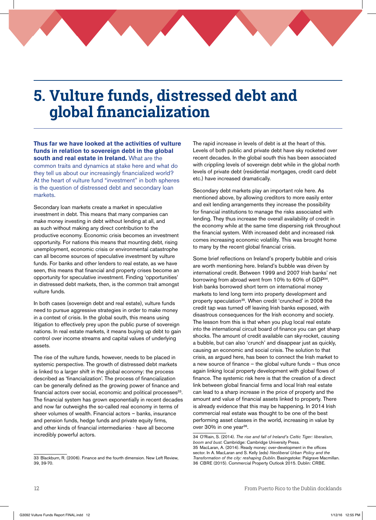## **5. Vulture funds, distressed debt and global financialization**

**Thus far we have looked at the activities of vulture funds in relation to sovereign debt in the global south and real estate in Ireland.** What are the common traits and dynamics at stake here and what do they tell us about our increasingly financialized world? At the heart of vulture fund "investment" in both spheres is the question of distressed debt and secondary loan markets.

Secondary loan markets create a market in speculative investment in debt. This means that many companies can make money investing in debt without lending at all, and as such without making any direct contribution to the productive economy. Economic crisis becomes an investment opportunity. For nations this means that mounting debt, rising unemployment, economic crisis or environmental catastrophe can all become sources of speculative investment by vulture funds. For banks and other lenders to real estate, as we have seen, this means that financial and property crises become an opportunity for speculative investment. Finding 'opportunities' in distressed debt markets, then, is the common trait amongst vulture funds.

In both cases (sovereign debt and real estate), vulture funds need to pursue aggressive strategies in order to make money in a context of crisis. In the global south, this means using litigation to effectively prey upon the public purse of sovereign nations. In real estate markets, it means buying up debt to gain control over income streams and capital values of underlying assets.

The rise of the vulture funds, however, needs to be placed in systemic perspective. The growth of distressed debt markets is linked to a larger shift in the global economy: the process described as 'financialization'. The process of financialization can be generally defined as the growing power of finance and financial actors over social, economic and political processes<sup>33</sup>. The financial system has grown exponentially in recent decades and now far outweighs the so-called real economy in terms of sheer volumes of wealth. Financial actors – banks, insurance and pension funds, hedge funds and private equity firms, and other kinds of financial intermediaries - have all become incredibly powerful actors.

The rapid increase in levels of debt is at the heart of this. Levels of both public and private debt have sky rocketed over recent decades. In the global south this has been associated with crippling levels of sovereign debt while in the global north levels of private debt (residential mortgages, credit card debt etc.) have increased dramatically.

Secondary debt markets play an important role here. As mentioned above, by allowing creditors to more easily enter and exit lending arrangements they increase the possibility for financial institutions to manage the risks associated with lending. They thus increase the overall availability of credit in the economy while at the same time dispersing risk throughout the financial system. With increased debt and increased risk comes increasing economic volatility. This was brought home to many by the recent global financial crisis.

Some brief reflections on Ireland's property bubble and crisis are worth mentioning here. Ireland's bubble was driven by international credit. Between 1999 and 2007 Irish banks' net borrowing from abroad went from 10% to 60% of GDP<sup>34</sup>. Irish banks borrowed short term on international money markets to lend long term into property development and property speculation<sup>35</sup>. When credit 'crunched' in 2008 the credit tap was turned off leaving Irish banks exposed, with disastrous consequences for the Irish economy and society. The lesson from this is that when you plug local real estate into the international circuit board of finance you can get sharp shocks. The amount of credit available can sky-rocket, causing a bubble, but can also 'crunch' and disappear just as quickly, causing an economic and social crisis. The solution to that crisis, as argued here, has been to connect the Irish market to a new source of finance – the global vulture funds – thus once again linking local property development with global flows of finance. The systemic risk here is that the creation of a direct link between global financial firms and local Irish real estate can lead to a sharp increase in the price of property and the amount and value of financial assets linked to property. There is already evidence that this may be happening. In 2014 Irish commercial real estate was thought to be one of the best performing asset classes in the world, increasing in value by over 30% in one year<sup>36</sup>.

<sup>33</sup> Blackburn, R. (2006). Finance and the fourth dimension. New Left Review, 39, 39-70.

<sup>34</sup> O'Riain, S. (2014). *The rise and fall of Ireland's Celtic Tiger: liberalism, boom and bust*. Cambridge: Cambridge University Press. 35 MacLaran, A. (2014). Ready money: over-development in the offices sector. In A. MacLaran and S. Kelly (eds) *Neoliberal Urban Policy and the Transformation of the city: reshaping Dublin*. Basingstoke: Palgrave Macmillan. 36 CBRE (2015). Commercial Property Outlook 2015. Dublin: CRBE.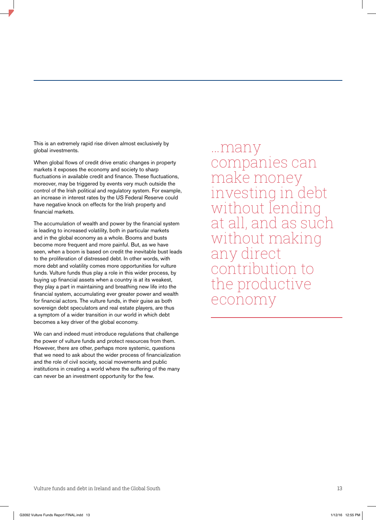This is an extremely rapid rise driven almost exclusively by global investments.

When global flows of credit drive erratic changes in property markets it exposes the economy and society to sharp fluctuations in available credit and finance. These fluctuations, moreover, may be triggered by events very much outside the control of the Irish political and regulatory system. For example, an increase in interest rates by the US Federal Reserve could have negative knock on effects for the Irish property and financial markets.

The accumulation of wealth and power by the financial system is leading to increased volatility, both in particular markets and in the global economy as a whole. Booms and busts become more frequent and more painful. But, as we have seen, when a boom is based on credit the inevitable bust leads to the proliferation of distressed debt. In other words, with more debt and volatility comes more opportunities for vulture funds. Vulture funds thus play a role in this wider process, by buying up financial assets when a country is at its weakest, they play a part in maintaining and breathing new life into the financial system, accumulating ever greater power and wealth for financial actors. The vulture funds, in their guise as both sovereign debt speculators and real estate players, are thus a symptom of a wider transition in our world in which debt becomes a key driver of the global economy.

We can and indeed must introduce regulations that challenge the power of vulture funds and protect resources from them. However, there are other, perhaps more systemic, questions that we need to ask about the wider process of financialization and the role of civil society, social movements and public institutions in creating a world where the suffering of the many can never be an investment opportunity for the few.

…many companies can make money investing in debt without lending at all, and as such without making any direct contribution to the productive economy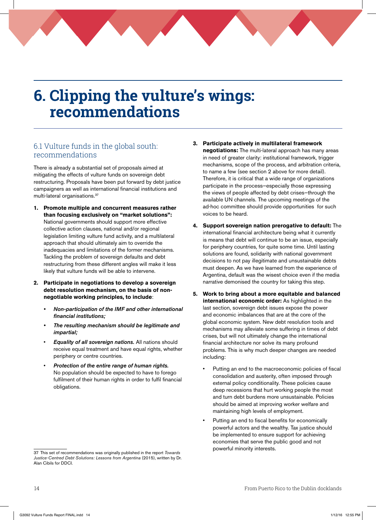## **6. Clipping the vulture's wings: recommendations**

## 6.1 Vulture funds in the global south: recommendations

There is already a substantial set of proposals aimed at mitigating the effects of vulture funds on sovereign debt restructuring. Proposals have been put forward by debt justice campaigners as well as international financial institutions and multi-lateral organisations.37

- **1. Promote multiple and concurrent measures rather than focusing exclusively on "market solutions":** National governments should support more effective collective action clauses, national and/or regional legislation limiting vulture fund activity, and a multilateral approach that should ultimately aim to override the inadequacies and limitations of the former mechanisms. Tackling the problem of sovereign defaults and debt restructuring from these different angles will make it less likely that vulture funds will be able to intervene.
- **2. Participate in negotiations to develop a sovereign debt resolution mechanism, on the basis of nonnegotiable working principles, to include**:
	- Non-participation of the IMF and other international financial institutions;
	- The resulting mechanism should be legitimate and impartial;
	- **Equality of all sovereign nations.** All nations should receive equal treatment and have equal rights, whether periphery or centre countries.
	- Protection of the entire range of human rights. No population should be expected to have to forego fulfilment of their human rights in order to fulfil financial obligations.
- **3. Participate actively in multilateral framework negotiations:** The multi-lateral approach has many areas in need of greater clarity: institutional framework, trigger mechanisms, scope of the process, and arbitration criteria, to name a few (see section 2 above for more detail). Therefore, it is critical that a wide range of organizations participate in the process—especially those expressing the views of people affected by debt crises—through the available UN channels. The upcoming meetings of the ad-hoc committee should provide opportunities for such voices to be heard.
- **4. Support sovereign nation prerogative to default:** The international financial architecture being what it currently is means that debt will continue to be an issue, especially for periphery countries, for quite some time. Until lasting solutions are found, solidarity with national government decisions to not pay illegitimate and unsustainable debts must deepen. As we have learned from the experience of Argentina, default was the wisest choice even if the media narrative demonised the country for taking this step.
- **5. Work to bring about a more equitable and balanced international economic order:** As highlighted in the last section, sovereign debt issues expose the power and economic imbalances that are at the core of the global economic system. New debt resolution tools and mechanisms may alleviate some suffering in times of debt crises, but will not ultimately change the international financial architecture nor solve its many profound problems. This is why much deeper changes are needed including:
	- Putting an end to the macroeconomic policies of fiscal consolidation and austerity, often imposed through external policy conditionality. These policies cause deep recessions that hurt working people the most and turn debt burdens more unsustainable. Policies should be aimed at improving worker welfare and maintaining high levels of employment.
	- Putting an end to fiscal benefits for economically powerful actors and the wealthy. Tax justice should be implemented to ensure support for achieving economies that serve the public good and not powerful minority interests.

<sup>37</sup> This set of recommendations was originally published in the report *Towards Justice-Centred Debt Solutions: Lessons from Argentina* (2015), written by Dr. Alan Cibils for DDCI.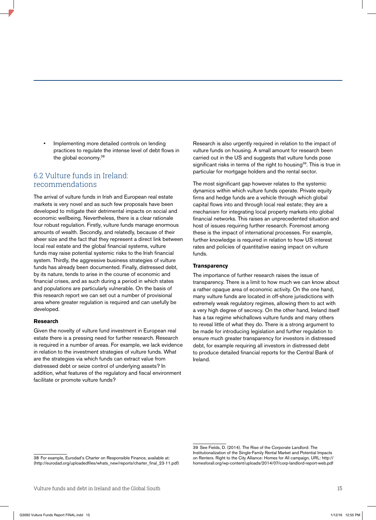Implementing more detailed controls on lending practices to regulate the intense level of debt flows in the global economy.<sup>38</sup>

### 6.2 Vulture funds in Ireland: recommendations

The arrival of vulture funds in Irish and European real estate markets is very novel and as such few proposals have been developed to mitigate their detrimental impacts on social and economic wellbeing. Nevertheless, there is a clear rationale four robust regulation. Firstly, vulture funds manage enormous amounts of wealth. Secondly, and relatedly, because of their sheer size and the fact that they represent a direct link between local real estate and the global financial systems, vulture funds may raise potential systemic risks to the Irish financial system. Thirdly, the aggressive business strategies of vulture funds has already been documented. Finally, distressed debt, by its nature, tends to arise in the course of economic and financial crises, and as such during a period in which states and populations are particularly vulnerable. On the basis of this research report we can set out a number of provisional area where greater regulation is required and can usefully be developed.

#### **Research**

Given the novelty of vulture fund investment in European real estate there is a pressing need for further research. Research is required in a number of areas. For example, we lack evidence in relation to the investment strategies of vulture funds. What are the strategies via which funds can extract value from distressed debt or seize control of underlying assets? In addition, what features of the regulatory and fiscal environment facilitate or promote vulture funds?

Research is also urgently required in relation to the impact of vulture funds on housing. A small amount for research been carried out in the US and suggests that vulture funds pose significant risks in terms of the right to housing<sup>39</sup>. This is true in particular for mortgage holders and the rental sector.

The most significant gap however relates to the systemic dynamics within which vulture funds operate. Private equity firms and hedge funds are a vehicle through which global capital flows into and through local real estate; they are a mechanism for integrating local property markets into global financial networks. This raises an unprecedented situation and host of issues requiring further research. Foremost among these is the impact of international processes. For example, further knowledge is required in relation to how US interest rates and policies of quantitative easing impact on vulture funds.

#### **Transparency**

The importance of further research raises the issue of transparency. There is a limit to how much we can know about a rather opaque area of economic activity. On the one hand, many vulture funds are located in off-shore jurisdictions with extremely weak regulatory regimes, allowing them to act with a very high degree of secrecy. On the other hand, Ireland itself has a tax regime whichallows vulture funds and many others to reveal little of what they do. There is a strong argument to be made for introducing legislation and further regulation to ensure much greater transparency for investors in distressed debt, for example requiring all investors in distressed debt to produce detailed financial reports for the Central Bank of Ireland.

<sup>38</sup> For example, Eurodad's Charter on Responsible Finance, available at: (http://eurodad.org/uploadedfiles/whats\_new/reports/charter\_final\_23-11.pdf)

<sup>39</sup> See Fields, D. (2014). The Rise of the Corporate Landlord: The Institutionalization of the Single-Family Rental Market and Potential Impacts on Renters. Right to the City Alliance: Homes for All campaign, URL: http:// homesforall.org/wp-content/uploads/2014/07/corp-landlord-report-web.pdf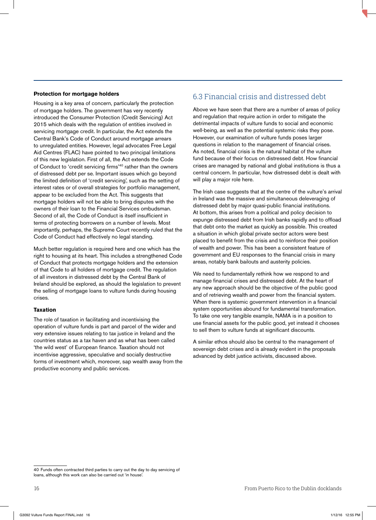#### **Protection for mortgage holders**

Housing is a key area of concern, particularly the protection of mortgage holders. The government has very recently introduced the Consumer Protection (Credit Servicing) Act 2015 which deals with the regulation of entities involved in servicing mortgage credit. In particular, the Act extends the Central Bank's Code of Conduct around mortgage arrears to unregulated entities. However, legal advocates Free Legal Aid Centres (FLAC) have pointed to two principal limitations of this new legislation. First of all, the Act extends the Code of Conduct to 'credit servicing firms'40 rather than the owners of distressed debt per se. Important issues which go beyond the limited definition of 'credit servicing', such as the setting of interest rates or of overall strategies for portfolio management, appear to be excluded from the Act. This suggests that mortgage holders will not be able to bring disputes with the owners of their loan to the Financial Services ombudsman. Second of all, the Code of Conduct is itself insufficient in terms of protecting borrowers on a number of levels. Most importantly, perhaps, the Supreme Court recently ruled that the Code of Conduct had effectively no legal standing.

Much better regulation is required here and one which has the right to housing at its heart. This includes a strengthened Code of Conduct that protects mortgage holders and the extension of that Code to all holders of mortgage credit. The regulation of all investors in distressed debt by the Central Bank of Ireland should be explored, as should the legislation to prevent the selling of mortgage loans to vulture funds during housing crises.

### **Taxation**

The role of taxation in facilitating and incentivising the operation of vulture funds is part and parcel of the wider and very extensive issues relating to tax justice in Ireland and the countries status as a tax haven and as what has been called 'the wild west' of European finance. Taxation should not incentivise aggressive, speculative and socially destructive forms of investment which, moreover, sap wealth away from the productive economy and public services.

## 6.3 Financial crisis and distressed debt

Above we have seen that there are a number of areas of policy and regulation that require action in order to mitigate the detrimental impacts of vulture funds to social and economic well-being, as well as the potential systemic risks they pose. However, our examination of vulture funds poses larger questions in relation to the management of financial crises. As noted, financial crisis is the natural habitat of the vulture fund because of their focus on distressed debt. How financial crises are managed by national and global institutions is thus a central concern. In particular, how distressed debt is dealt with will play a major role here.

The Irish case suggests that at the centre of the vulture's arrival in Ireland was the massive and simultaneous deleveraging of distressed debt by major quasi-public financial institutions. At bottom, this arises from a political and policy decision to expunge distressed debt from Irish banks rapidly and to offload that debt onto the market as quickly as possible. This created a situation in which global private sector actors were best placed to benefit from the crisis and to reinforce their position of wealth and power. This has been a consistent feature of government and EU responses to the financial crisis in many areas, notably bank bailouts and austerity policies.

We need to fundamentally rethink how we respond to and manage financial crises and distressed debt. At the heart of any new approach should be the objective of the public good and of retrieving wealth and power from the financial system. When there is systemic government intervention in a financial system opportunities abound for fundamental transformation. To take one very tangible example, NAMA is in a position to use financial assets for the public good, yet instead it chooses to sell them to vulture funds at significant discounts.

A similar ethos should also be central to the management of sovereign debt crises and is already evident in the proposals advanced by debt justice activists, discussed above.

<sup>40</sup> Funds often contracted third parties to carry out the day to day servicing of loans, although this work can also be carried out 'in house'.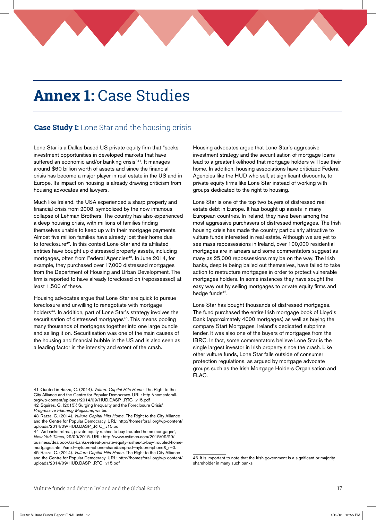## **Annex 1:** Case Studies

## **Case Study I:** Lone Star and the housing crisis

Lone Star is a Dallas based US private equity firm that "seeks investment opportunities in developed markets that have suffered an economic and/or banking crisis"<sup>41</sup>. It manages around \$60 billion worth of assets and since the financial crisis has become a major player in real estate in the US and in Europe. Its impact on housing is already drawing criticism from housing advocates and lawyers.

Much like Ireland, the USA experienced a sharp property and financial crisis from 2008, symbolized by the now infamous collapse of Lehman Brothers. The country has also experienced a deep housing crisis, with millions of families finding themselves unable to keep up with their mortgage payments. Almost five million families have already lost their home due to foreclosure<sup>42</sup>. In this context Lone Star and its affiliated entities have bought up distressed property assets, including mortgages, often from Federal Agencies<sup>43</sup>. In June 2014, for example, they purchased over 17,000 distressed mortgages from the Department of Housing and Urban Development. The firm is reported to have already foreclosed on (repossessed) at least 1,500 of these.

Housing advocates argue that Lone Star are quick to pursue foreclosure and unwilling to renegotiate with mortgage holders<sup>44</sup>. In addition, part of Lone Star's strategy involves the securitisation of distressed mortgages<sup>45</sup>. This means pooling many thousands of mortgages together into one large bundle and selling it on. Securitisation was one of the main causes of the housing and financial bubble in the US and is also seen as a leading factor in the intensity and extent of the crash.

Housing advocates argue that Lone Star's aggressive investment strategy and the securitisation of mortgage loans lead to a greater likelihood that mortgage holders will lose their home. In addition, housing associations have criticized Federal Agencies like the HUD who sell, at significant discounts, to private equity firms like Lone Star instead of working with groups dedicated to the right to housing.

Lone Star is one of the top two buyers of distressed real estate debt in Europe. It has bought up assets in many European countries. In Ireland, they have been among the most aggressive purchasers of distressed mortgages. The Irish housing crisis has made the country particularly attractive to vulture funds interested in real estate. Although we are yet to see mass repossessions in Ireland, over 100,000 residential mortgages are in arrears and some commentators suggest as many as 25,000 repossessions may be on the way. The Irish banks, despite being bailed out themselves, have failed to take action to restructure mortgages in order to protect vulnerable mortgages holders. In some instances they have sought the easy way out by selling mortgages to private equity firms and hedge funds<sup>46</sup>.

Lone Star has bought thousands of distressed mortgages. The fund purchased the entire Irish mortgage book of Lloyd's Bank (approximately 4000 mortgages) as well as buying the company Start Mortgages, Ireland's dedicated subprime lender. It was also one of the buyers of mortgages from the IBRC. In fact, some commentators believe Lone Star is the single largest investor in Irish property since the crash. Like other vulture funds, Lone Star falls outside of consumer protection regulations, as argued by mortgage advocate groups such as the Irish Mortgage Holders Organisation and FLAC.

<sup>41</sup> Quoted in Razza, C. (2014). *Vulture Capital Hits Home*. The Right to the City Alliance and the Centre for Popular Democracy. URL: http://homesforall. org/wp-content/uploads/2014/09/HUD.DASP\_.RTC\_.v15.pdf

<sup>42</sup> Squires, G. (2015).' Surging Inequality and the Foreclosure Crisis'. *Progressive Planning Magazine*, winter.

<sup>43</sup> Razza, C. (2014). *Vulture Capital Hits Home*. The Right to the City Alliance and the Centre for Popular Democracy. URL: http://homesforall.org/wp-content/ uploads/2014/09/HUD.DASP\_.RTC\_.v15.pdf

<sup>44 &#</sup>x27;As banks retreat, private equity rushes to buy troubled home mortgages', *New York Times*, 29/09/2015. URL: http://www.nytimes.com/2015/09/29/ business/dealbook/as-banks-retreat-private-equity-rushes-to-buy-troubled-homemortgages.html?smid=nytcore-iphone-share&smprod=nytcore-iphone& r=0. 45 Razza, C. (2014). *Vulture Capital Hits Home*. The Right to the City Alliance and the Centre for Popular Democracy. URL: http://homesforall.org/wp-content/ uploads/2014/09/HUD.DASP\_.RTC\_.v15.pdf

<sup>46</sup> It is important to note that the Irish government is a significant or majority shareholder in many such banks.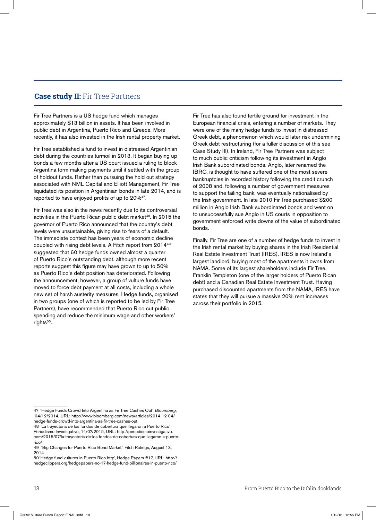### **Case study II:** Fir Tree Partners

Fir Tree Partners is a US hedge fund which manages approximately \$13 billion in assets. It has been involved in public debt in Argentina, Puerto Rico and Greece. More recently, it has also invested in the Irish rental property market.

Fir Tree established a fund to invest in distressed Argentinian debt during the countries turmoil in 2013. It began buying up bonds a few months after a US court issued a ruling to block Argentina form making payments until it settled with the group of holdout funds. Rather than pursuing the hold out strategy associated with NML Capital and Elliott Management, Fir Tree liquidated its position in Argentinian bonds in late 2014, and is reported to have enjoyed profits of up to 20%47.

Fir Tree was also in the news recently due to its controversial activities in the Puerto Rican public debt market<sup>48</sup>. In 2015 the governor of Puerto Rico announced that the country's debt levels were unsustainable, giving rise to fears of a default. The immediate context has been years of economic decline coupled with rising debt levels. A Fitch report from 201449 suggested that 60 hedge funds owned almost a quarter of Puerto Rico's outstanding debt, although more recent reports suggest this figure may have grown to up to 50% as Puerto Rico's debt position has deteriorated. Following the announcement, however, a group of vulture funds have moved to force debt payment at all costs, including a whole new set of harsh austerity measures. Hedge funds, organised in two groups (one of which is reported to be led by Fir Tree Partners), have recommended that Puerto Rico cut public spending and reduce the minimum wage and other workers' rights<sup>50</sup>.

Fir Tree has also found fertile ground for investment in the European financial crisis, entering a number of markets. They were one of the many hedge funds to invest in distressed Greek debt, a phenomenon which would later risk undermining Greek debt restructuring (for a fuller discussion of this see Case Study III). In Ireland, Fir Tree Partners was subject to much public criticism following its investment in Anglo Irish Bank subordinated bonds. Anglo, later renamed the IBRC, is thought to have suffered one of the most severe bankruptcies in recorded history following the credit crunch of 2008 and, following a number of government measures to support the failing bank, was eventually nationalised by the Irish government. In late 2010 Fir Tree purchased \$200 million in Anglo Irish Bank subordinated bonds and went on to unsuccessfully sue Anglo in US courts in opposition to government enforced write downs of the value of subordinated bonds.

Finally, Fir Tree are one of a number of hedge funds to invest in the Irish rental market by buying shares in the Irish Residential Real Estate Investment Trust (IRES). IRES is now Ireland's largest landlord, buying most of the apartments it owns from NAMA. Some of its largest shareholders include Fir Tree, Franklin Templeton (one of the larger holders of Puerto Rican debt) and a Canadian Real Estate Investment Trust. Having purchased discounted apartments from the NAMA, IRES have states that they will pursue a massive 20% rent increases across their portfolio in 2015.

<sup>47 &#</sup>x27;Hedge Funds Crowd Into Argentina as Fir Tree Cashes Out', *Bloomberg*, 04/12/2014, URL: http://www.bloomberg.com/news/articles/2014-12-04/ hedge-funds-crowd-into-argentina-as-fir-tree-cashes-out

<sup>48 &#</sup>x27;La trayectoria de los fondos de cobertura que llegaron a Puerto Rico', Periodismo Investigativo, 14/07/2015, URL: http://periodismoinvestigativo. com/2015/07/la-trayectoria-de-los-fondos-de-cobertura-que-llegaron-a-puertorico/

<sup>49 &</sup>quot;Big Changes for Puerto Rico Bond Market," Fitch Ratings, August 13, 2014

<sup>50&#</sup>x27;Hedge fund vultures in Puerto Rico http', Hedge Papers #17, URL: http:// hedgeclippers.org/hedgepapers-no-17-hedge-fund-billionaires-in-puerto-rico/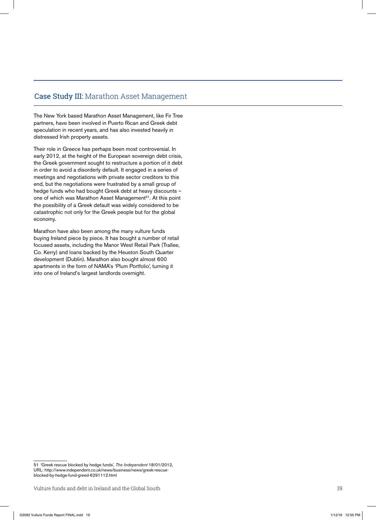### Case Study III: Marathon Asset Management

The New York based Marathon Asset Management, like Fir Tree partners, have been involved in Puerto Rican and Greek debt speculation in recent years, and has also invested heavily in distressed Irish property assets.

Their role in Greece has perhaps been most controversial. In early 2012, at the height of the European sovereign debt crisis, the Greek government sought to restructure a portion of it debt in order to avoid a disorderly default. It engaged in a series of meetings and negotiations with private sector creditors to this end, but the negotiations were frustrated by a small group of hedge funds who had bought Greek debt at heavy discounts – one of which was Marathon Asset Management<sup>51</sup>. At this point the possibility of a Greek default was widely considered to be catastrophic not only for the Greek people but for the global economy.

Marathon have also been among the many vulture funds buying Ireland piece by piece. It has bought a number of retail focused assets, including the Manor West Retail Park (Trallee, Co. Kerry) and loans backed by the Heuston South Quarter development (Dublin). Marathon also bought almost 600 apartments in the form of NAMA's 'Plum Portfolio', turning it into one of Ireland's largest landlords overnight.

<sup>51 &#</sup>x27;Greek rescue blocked by hedge funds', *The Independent* 18/01/2012, URL: http://www.independent.co.uk/news/business/news/greek-rescueblocked-by-hedge-fund-greed-6291112.html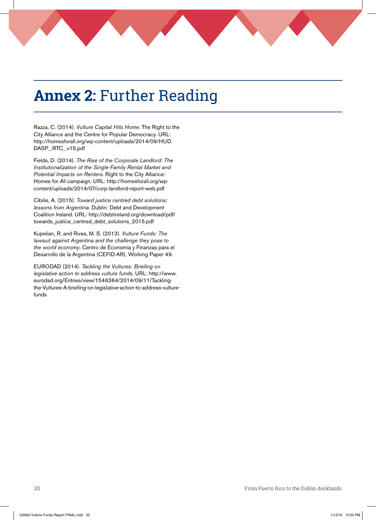# **Annex 2:** Further Reading

Razza, C. (2014). *Vulture Capital Hits Home*. The Right to the City Alliance and the Centre for Popular Democracy. URL: http://homesforall.org/wp-content/uploads/2014/09/HUD. DASP\_.RTC\_.v15.pdf

Fields, D. (2014). *The Rise of the Corporate Landlord: The Institutionalization of the Single-Family Rental Market and Potential Impacts on Renters*. Right to the City Alliance: Homes for All campaign. URL: http://homesforall.org/wpcontent/uploads/2014/07/corp-landlord-report-web.pdf

Cibilis, A. (2015). *Toward justice centred debt solutions: lessons from Argentina*. Dublin: Debt and Development Coalition Ireland. URL: http://debtireland.org/download/pdf/ towards\_justice\_centred\_debt\_solutions\_2015.pdf

Kupelian, R. and Rivas, M. S. (2013). *Vulture Funds: The lawsuit against Argentina and the challenge they pose to the world economy*. Centro de Economía y Finanzas para el Desarrollo de la Argentina (CEFID-AR), Working Paper 49.

EURODAD (2014). *Tackling the Vultures: Briefing on legislative action to address vulture funds*. URL: http://www. eurodad.org/Entries/view/1546364/2014/09/11/Tacklingthe-Vultures-A-briefing-on-legislative-action-to-address-vulturefunds